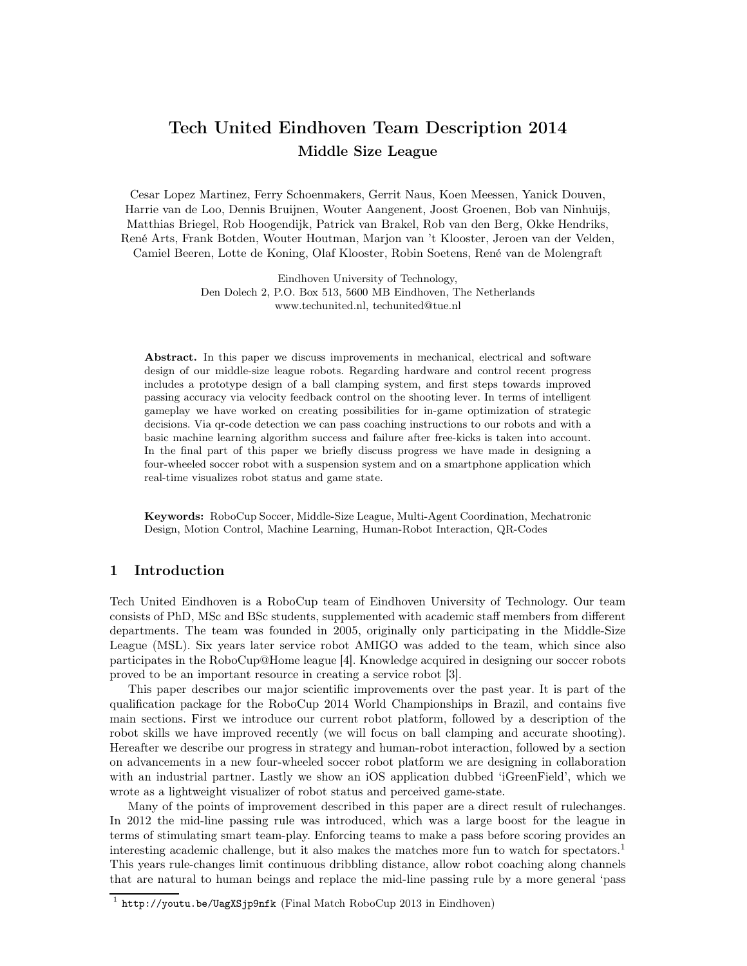# Tech United Eindhoven Team Description 2014 Middle Size League

Cesar Lopez Martinez, Ferry Schoenmakers, Gerrit Naus, Koen Meessen, Yanick Douven, Harrie van de Loo, Dennis Bruijnen, Wouter Aangenent, Joost Groenen, Bob van Ninhuijs, Matthias Briegel, Rob Hoogendijk, Patrick van Brakel, Rob van den Berg, Okke Hendriks, René Arts, Frank Botden, Wouter Houtman, Marjon van 't Klooster, Jeroen van der Velden, Camiel Beeren, Lotte de Koning, Olaf Klooster, Robin Soetens, René van de Molengraft

> Eindhoven University of Technology, Den Dolech 2, P.O. Box 513, 5600 MB Eindhoven, The Netherlands www.techunited.nl, techunited@tue.nl

Abstract. In this paper we discuss improvements in mechanical, electrical and software design of our middle-size league robots. Regarding hardware and control recent progress includes a prototype design of a ball clamping system, and first steps towards improved passing accuracy via velocity feedback control on the shooting lever. In terms of intelligent gameplay we have worked on creating possibilities for in-game optimization of strategic decisions. Via qr-code detection we can pass coaching instructions to our robots and with a basic machine learning algorithm success and failure after free-kicks is taken into account. In the final part of this paper we briefly discuss progress we have made in designing a four-wheeled soccer robot with a suspension system and on a smartphone application which real-time visualizes robot status and game state.

Keywords: RoboCup Soccer, Middle-Size League, Multi-Agent Coordination, Mechatronic Design, Motion Control, Machine Learning, Human-Robot Interaction, QR-Codes

# 1 Introduction

Tech United Eindhoven is a RoboCup team of Eindhoven University of Technology. Our team consists of PhD, MSc and BSc students, supplemented with academic staff members from different departments. The team was founded in 2005, originally only participating in the Middle-Size League (MSL). Six years later service robot AMIGO was added to the team, which since also participates in the RoboCup@Home league [\[4\]](#page-7-0). Knowledge acquired in designing our soccer robots proved to be an important resource in creating a service robot [\[3\]](#page-7-1).

This paper describes our major scientific improvements over the past year. It is part of the qualification package for the RoboCup 2014 World Championships in Brazil, and contains five main sections. First we introduce our current robot platform, followed by a description of the robot skills we have improved recently (we will focus on ball clamping and accurate shooting). Hereafter we describe our progress in strategy and human-robot interaction, followed by a section on advancements in a new four-wheeled soccer robot platform we are designing in collaboration with an industrial partner. Lastly we show an iOS application dubbed 'iGreenField', which we wrote as a lightweight visualizer of robot status and perceived game-state.

Many of the points of improvement described in this paper are a direct result of rulechanges. In 2012 the mid-line passing rule was introduced, which was a large boost for the league in terms of stimulating smart team-play. Enforcing teams to make a pass before scoring provides an interesting academic challenge, but it also makes the matches more fun to watch for spectators.[1](#page-0-0) This years rule-changes limit continuous dribbling distance, allow robot coaching along channels that are natural to human beings and replace the mid-line passing rule by a more general 'pass

<span id="page-0-0"></span><sup>&</sup>lt;sup>1</sup> <http://youtu.be/UagXSjp9nfk> (Final Match RoboCup 2013 in Eindhoven)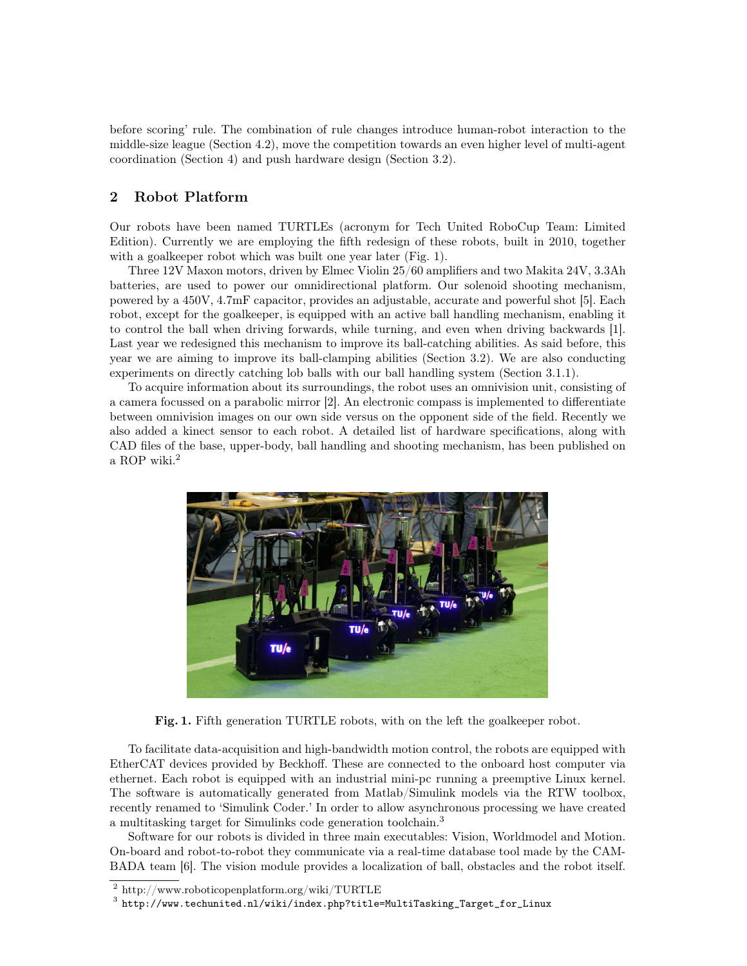before scoring' rule. The combination of rule changes introduce human-robot interaction to the middle-size league (Section [4.2\)](#page-5-0), move the competition towards an even higher level of multi-agent coordination (Section [4\)](#page-4-0) and push hardware design (Section [3.2\)](#page-4-1).

# 2 Robot Platform

Our robots have been named TURTLEs (acronym for Tech United RoboCup Team: Limited Edition). Currently we are employing the fifth redesign of these robots, built in 2010, together with a goalkeeper robot which was built one year later (Fig. [1\)](#page-1-0).

Three 12V Maxon motors, driven by Elmec Violin 25/60 amplifiers and two Makita 24V, 3.3Ah batteries, are used to power our omnidirectional platform. Our solenoid shooting mechanism, powered by a 450V, 4.7mF capacitor, provides an adjustable, accurate and powerful shot [\[5\]](#page-7-2). Each robot, except for the goalkeeper, is equipped with an active ball handling mechanism, enabling it to control the ball when driving forwards, while turning, and even when driving backwards [\[1\]](#page-7-3). Last year we redesigned this mechanism to improve its ball-catching abilities. As said before, this year we are aiming to improve its ball-clamping abilities (Section [3.2\)](#page-4-1). We are also conducting experiments on directly catching lob balls with our ball handling system (Section [3.1.1\)](#page-2-0).

To acquire information about its surroundings, the robot uses an omnivision unit, consisting of a camera focussed on a parabolic mirror [\[2\]](#page-7-4). An electronic compass is implemented to differentiate between omnivision images on our own side versus on the opponent side of the field. Recently we also added a kinect sensor to each robot. A detailed list of hardware specifications, along with CAD files of the base, upper-body, ball handling and shooting mechanism, has been published on a ROP wiki.<sup>[2](#page-1-1)</sup>



Fig. 1. Fifth generation TURTLE robots, with on the left the goalkeeper robot.

<span id="page-1-0"></span>To facilitate data-acquisition and high-bandwidth motion control, the robots are equipped with EtherCAT devices provided by Beckhoff. These are connected to the onboard host computer via ethernet. Each robot is equipped with an industrial mini-pc running a preemptive Linux kernel. The software is automatically generated from Matlab/Simulink models via the RTW toolbox, recently renamed to 'Simulink Coder.' In order to allow asynchronous processing we have created a multitasking target for Simulinks code generation toolchain.<sup>[3](#page-1-2)</sup>

Software for our robots is divided in three main executables: Vision, Worldmodel and Motion. On-board and robot-to-robot they communicate via a real-time database tool made by the CAM-BADA team [\[6\]](#page-7-5). The vision module provides a localization of ball, obstacles and the robot itself.

<sup>2</sup> <http://www.roboticopenplatform.org/wiki/TURTLE>

<span id="page-1-2"></span><span id="page-1-1"></span><sup>3</sup> [http://www.techunited.nl/wiki/index.php?title=MultiTasking\\_Target\\_for\\_Linux](http://www.techunited.nl/wiki/index.php?title=MultiTasking_Target_for_Linux)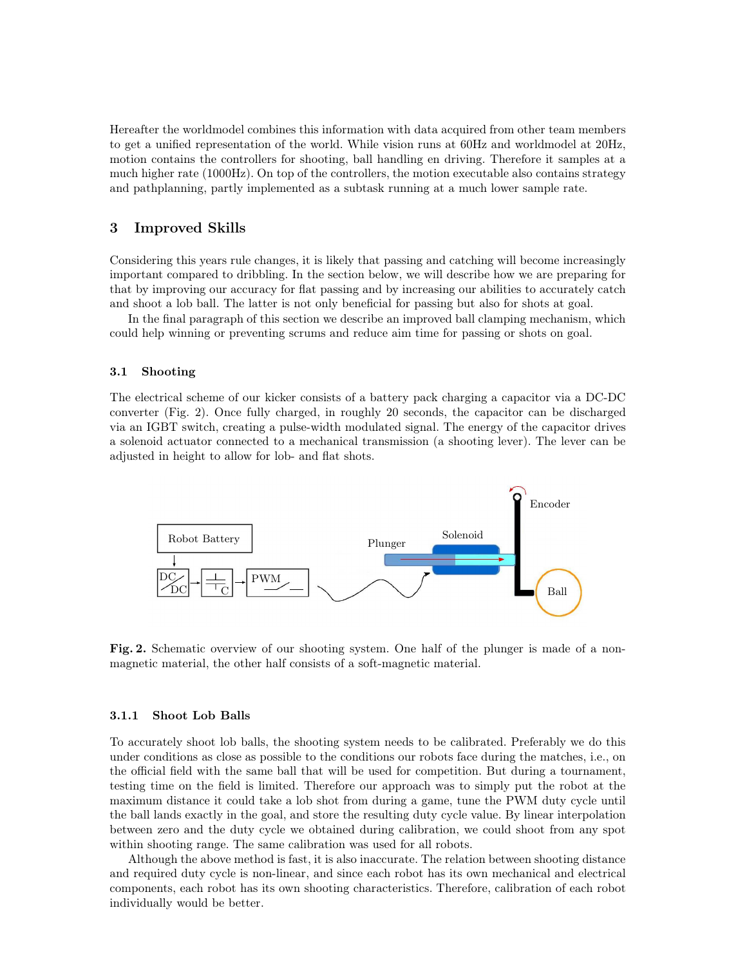Hereafter the worldmodel combines this information with data acquired from other team members to get a unified representation of the world. While vision runs at 60Hz and worldmodel at 20Hz, motion contains the controllers for shooting, ball handling en driving. Therefore it samples at a much higher rate (1000Hz). On top of the controllers, the motion executable also contains strategy and pathplanning, partly implemented as a subtask running at a much lower sample rate.

## 3 Improved Skills

Considering this years rule changes, it is likely that passing and catching will become increasingly important compared to dribbling. In the section below, we will describe how we are preparing for that by improving our accuracy for flat passing and by increasing our abilities to accurately catch and shoot a lob ball. The latter is not only beneficial for passing but also for shots at goal.

In the final paragraph of this section we describe an improved ball clamping mechanism, which could help winning or preventing scrums and reduce aim time for passing or shots on goal.

#### 3.1 Shooting

The electrical scheme of our kicker consists of a battery pack charging a capacitor via a DC-DC converter (Fig. [2\)](#page-2-1). Once fully charged, in roughly 20 seconds, the capacitor can be discharged via an IGBT switch, creating a pulse-width modulated signal. The energy of the capacitor drives a solenoid actuator connected to a mechanical transmission (a shooting lever). The lever can be adjusted in height to allow for lob- and flat shots.



<span id="page-2-1"></span>Fig. 2. Schematic overview of our shooting system. One half of the plunger is made of a nonmagnetic material, the other half consists of a soft-magnetic material.

#### <span id="page-2-0"></span>3.1.1 Shoot Lob Balls

To accurately shoot lob balls, the shooting system needs to be calibrated. Preferably we do this under conditions as close as possible to the conditions our robots face during the matches, i.e., on the official field with the same ball that will be used for competition. But during a tournament, testing time on the field is limited. Therefore our approach was to simply put the robot at the maximum distance it could take a lob shot from during a game, tune the PWM duty cycle until the ball lands exactly in the goal, and store the resulting duty cycle value. By linear interpolation between zero and the duty cycle we obtained during calibration, we could shoot from any spot within shooting range. The same calibration was used for all robots.

Although the above method is fast, it is also inaccurate. The relation between shooting distance and required duty cycle is non-linear, and since each robot has its own mechanical and electrical components, each robot has its own shooting characteristics. Therefore, calibration of each robot individually would be better.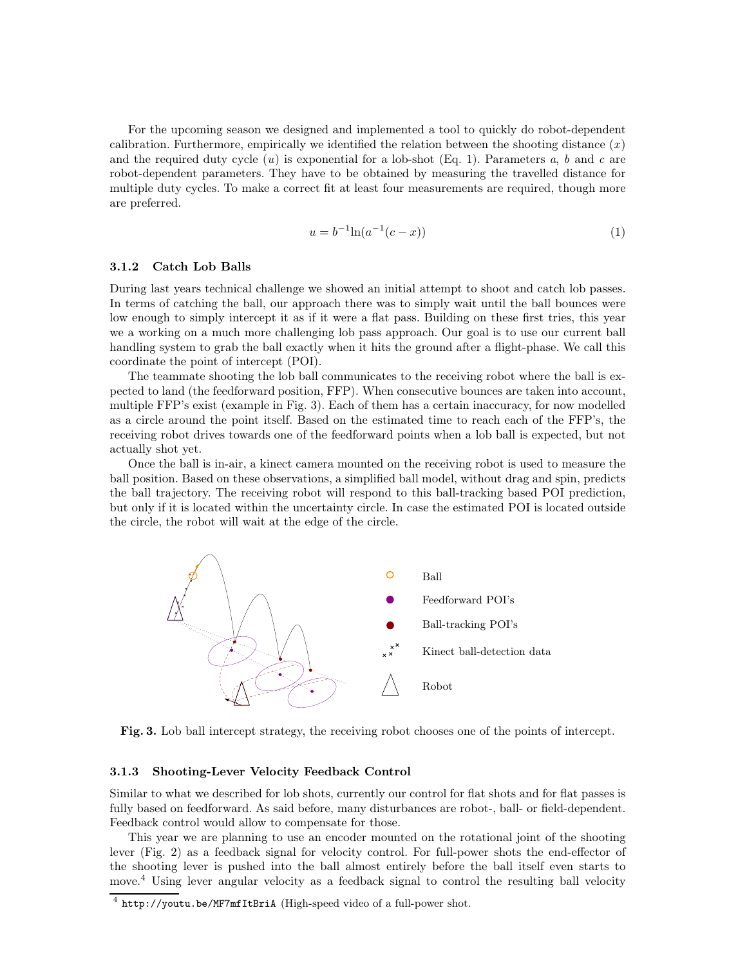For the upcoming season we designed and implemented a tool to quickly do robot-dependent calibration. Furthermore, empirically we identified the relation between the shooting distance  $(x)$ and the required duty cycle  $(u)$  is exponential for a lob-shot (Eq. [1\)](#page-3-0). Parameters a, b and c are robot-dependent parameters. They have to be obtained by measuring the travelled distance for multiple duty cycles. To make a correct fit at least four measurements are required, though more are preferred.

$$
u = b^{-1} \ln(a^{-1}(c - x))
$$
\n(1)

#### <span id="page-3-0"></span>3.1.2 Catch Lob Balls

During last years technical challenge we showed an initial attempt to shoot and catch lob passes. In terms of catching the ball, our approach there was to simply wait until the ball bounces were low enough to simply intercept it as if it were a flat pass. Building on these first tries, this year we a working on a much more challenging lob pass approach. Our goal is to use our current ball handling system to grab the ball exactly when it hits the ground after a flight-phase. We call this coordinate the point of intercept (POI).

The teammate shooting the lob ball communicates to the receiving robot where the ball is expected to land (the feedforward position, FFP). When consecutive bounces are taken into account, multiple FFP's exist (example in Fig. [3\)](#page-3-1). Each of them has a certain inaccuracy, for now modelled as a circle around the point itself. Based on the estimated time to reach each of the FFP's, the receiving robot drives towards one of the feedforward points when a lob ball is expected, but not actually shot yet.

Once the ball is in-air, a kinect camera mounted on the receiving robot is used to measure the ball position. Based on these observations, a simplified ball model, without drag and spin, predicts the ball trajectory. The receiving robot will respond to this ball-tracking based POI prediction, but only if it is located within the uncertainty circle. In case the estimated POI is located outside the circle, the robot will wait at the edge of the circle.



<span id="page-3-1"></span>Fig. 3. Lob ball intercept strategy, the receiving robot chooses one of the points of intercept.

## 3.1.3 Shooting-Lever Velocity Feedback Control

Similar to what we described for lob shots, currently our control for flat shots and for flat passes is fully based on feedforward. As said before, many disturbances are robot-, ball- or field-dependent. Feedback control would allow to compensate for those.

This year we are planning to use an encoder mounted on the rotational joint of the shooting lever (Fig. [2\)](#page-2-1) as a feedback signal for velocity control. For full-power shots the end-effector of the shooting lever is pushed into the ball almost entirely before the ball itself even starts to move.[4](#page-3-2) Using lever angular velocity as a feedback signal to control the resulting ball velocity

<span id="page-3-2"></span><sup>4</sup> <http://youtu.be/MF7mfItBriA> (High-speed video of a full-power shot.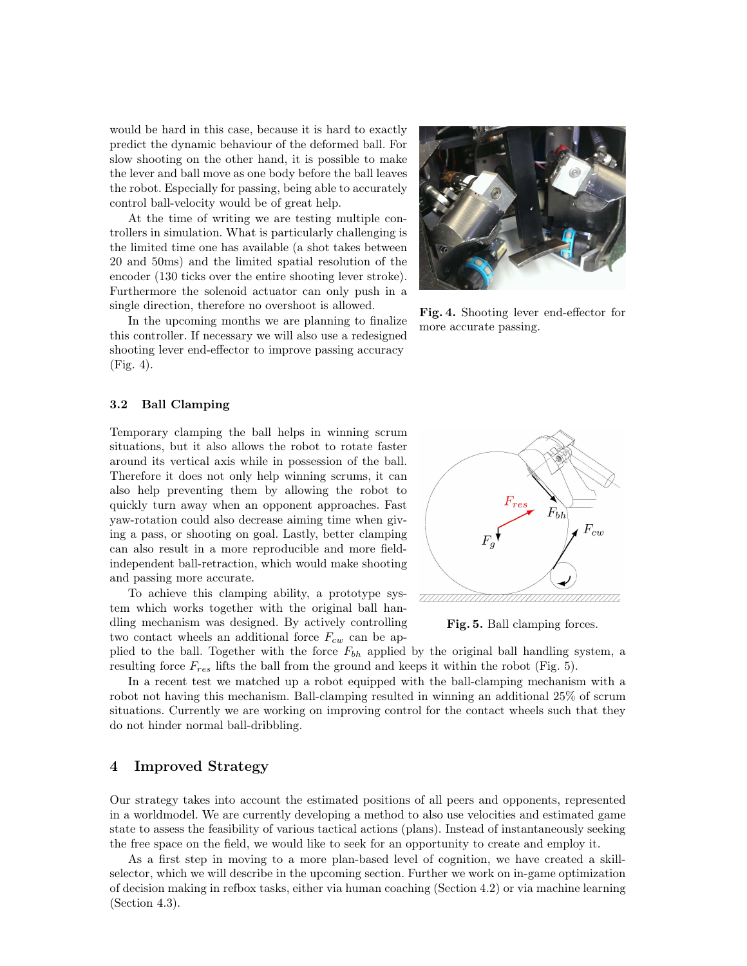would be hard in this case, because it is hard to exactly predict the dynamic behaviour of the deformed ball. For slow shooting on the other hand, it is possible to make the lever and ball move as one body before the ball leaves the robot. Especially for passing, being able to accurately control ball-velocity would be of great help.

At the time of writing we are testing multiple controllers in simulation. What is particularly challenging is the limited time one has available (a shot takes between 20 and 50ms) and the limited spatial resolution of the encoder (130 ticks over the entire shooting lever stroke). Furthermore the solenoid actuator can only push in a single direction, therefore no overshoot is allowed.

In the upcoming months we are planning to finalize this controller. If necessary we will also use a redesigned shooting lever end-effector to improve passing accuracy (Fig. [4\)](#page-4-2).



Fig. 4. Shooting lever end-effector for more accurate passing.

#### <span id="page-4-1"></span>3.2 Ball Clamping

Temporary clamping the ball helps in winning scrum situations, but it also allows the robot to rotate faster around its vertical axis while in possession of the ball. Therefore it does not only help winning scrums, it can also help preventing them by allowing the robot to quickly turn away when an opponent approaches. Fast yaw-rotation could also decrease aiming time when giving a pass, or shooting on goal. Lastly, better clamping can also result in a more reproducible and more fieldindependent ball-retraction, which would make shooting and passing more accurate.

To achieve this clamping ability, a prototype system which works together with the original ball handling mechanism was designed. By actively controlling two contact wheels an additional force  $F_{cw}$  can be ap-

<span id="page-4-2"></span>

<span id="page-4-3"></span>Fig. 5. Ball clamping forces.

plied to the ball. Together with the force  $F_{bh}$  applied by the original ball handling system, a resulting force  $F_{res}$  lifts the ball from the ground and keeps it within the robot (Fig. [5\)](#page-4-3).

In a recent test we matched up a robot equipped with the ball-clamping mechanism with a robot not having this mechanism. Ball-clamping resulted in winning an additional 25% of scrum situations. Currently we are working on improving control for the contact wheels such that they do not hinder normal ball-dribbling.

## <span id="page-4-0"></span>4 Improved Strategy

Our strategy takes into account the estimated positions of all peers and opponents, represented in a worldmodel. We are currently developing a method to also use velocities and estimated game state to assess the feasibility of various tactical actions (plans). Instead of instantaneously seeking the free space on the field, we would like to seek for an opportunity to create and employ it.

As a first step in moving to a more plan-based level of cognition, we have created a skillselector, which we will describe in the upcoming section. Further we work on in-game optimization of decision making in refbox tasks, either via human coaching (Section [4.2\)](#page-5-0) or via machine learning (Section [4.3\)](#page-6-0).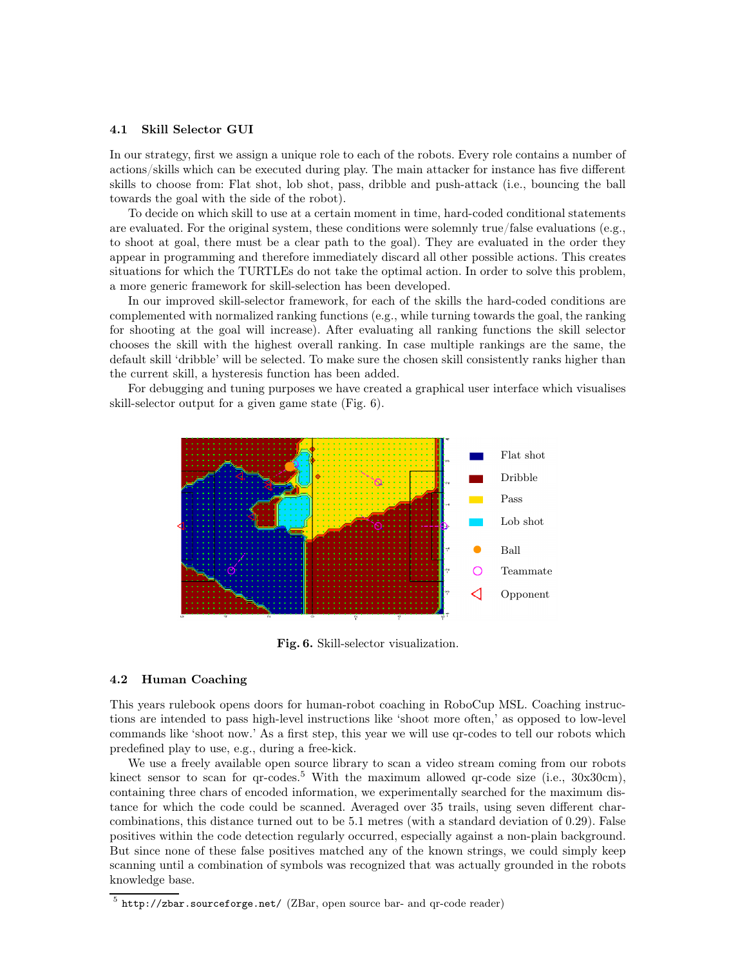#### 4.1 Skill Selector GUI

In our strategy, first we assign a unique role to each of the robots. Every role contains a number of actions/skills which can be executed during play. The main attacker for instance has five different skills to choose from: Flat shot, lob shot, pass, dribble and push-attack (i.e., bouncing the ball towards the goal with the side of the robot).

To decide on which skill to use at a certain moment in time, hard-coded conditional statements are evaluated. For the original system, these conditions were solemnly true/false evaluations (e.g., to shoot at goal, there must be a clear path to the goal). They are evaluated in the order they appear in programming and therefore immediately discard all other possible actions. This creates situations for which the TURTLEs do not take the optimal action. In order to solve this problem, a more generic framework for skill-selection has been developed.

In our improved skill-selector framework, for each of the skills the hard-coded conditions are complemented with normalized ranking functions (e.g., while turning towards the goal, the ranking for shooting at the goal will increase). After evaluating all ranking functions the skill selector chooses the skill with the highest overall ranking. In case multiple rankings are the same, the default skill 'dribble' will be selected. To make sure the chosen skill consistently ranks higher than the current skill, a hysteresis function has been added.

For debugging and tuning purposes we have created a graphical user interface which visualises skill-selector output for a given game state (Fig. [6\)](#page-5-1).



<span id="page-5-1"></span>Fig. 6. Skill-selector visualization.

#### <span id="page-5-0"></span>4.2 Human Coaching

This years rulebook opens doors for human-robot coaching in RoboCup MSL. Coaching instructions are intended to pass high-level instructions like 'shoot more often,' as opposed to low-level commands like 'shoot now.' As a first step, this year we will use qr-codes to tell our robots which predefined play to use, e.g., during a free-kick.

We use a freely available open source library to scan a video stream coming from our robots kinect sensor to scan for qr-codes.<sup>[5](#page-5-2)</sup> With the maximum allowed qr-code size (i.e.,  $30x30cm$ ), containing three chars of encoded information, we experimentally searched for the maximum distance for which the code could be scanned. Averaged over 35 trails, using seven different charcombinations, this distance turned out to be 5.1 metres (with a standard deviation of 0.29). False positives within the code detection regularly occurred, especially against a non-plain background. But since none of these false positives matched any of the known strings, we could simply keep scanning until a combination of symbols was recognized that was actually grounded in the robots knowledge base.

<span id="page-5-2"></span><sup>&</sup>lt;sup>5</sup> <http://zbar.sourceforge.net/> (ZBar, open source bar- and qr-code reader)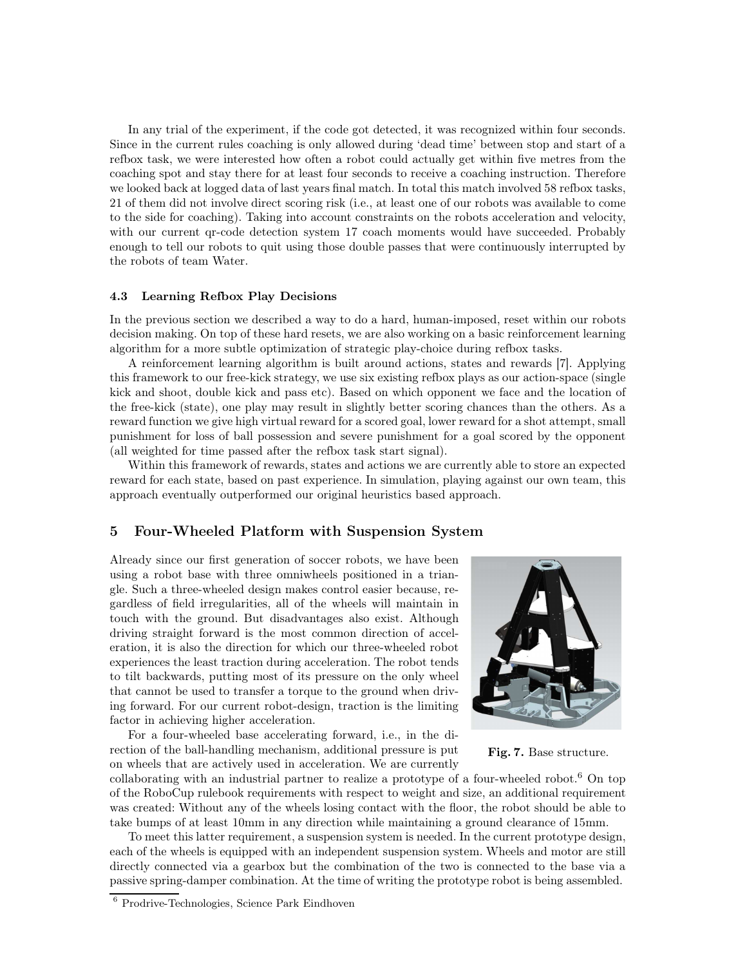In any trial of the experiment, if the code got detected, it was recognized within four seconds. Since in the current rules coaching is only allowed during 'dead time' between stop and start of a refbox task, we were interested how often a robot could actually get within five metres from the coaching spot and stay there for at least four seconds to receive a coaching instruction. Therefore we looked back at logged data of last years final match. In total this match involved 58 refbox tasks, 21 of them did not involve direct scoring risk (i.e., at least one of our robots was available to come to the side for coaching). Taking into account constraints on the robots acceleration and velocity, with our current qr-code detection system 17 coach moments would have succeeded. Probably enough to tell our robots to quit using those double passes that were continuously interrupted by the robots of team Water.

#### <span id="page-6-0"></span>4.3 Learning Refbox Play Decisions

In the previous section we described a way to do a hard, human-imposed, reset within our robots decision making. On top of these hard resets, we are also working on a basic reinforcement learning algorithm for a more subtle optimization of strategic play-choice during refbox tasks.

A reinforcement learning algorithm is built around actions, states and rewards [\[7\]](#page-7-6). Applying this framework to our free-kick strategy, we use six existing refbox plays as our action-space (single kick and shoot, double kick and pass etc). Based on which opponent we face and the location of the free-kick (state), one play may result in slightly better scoring chances than the others. As a reward function we give high virtual reward for a scored goal, lower reward for a shot attempt, small punishment for loss of ball possession and severe punishment for a goal scored by the opponent (all weighted for time passed after the refbox task start signal).

Within this framework of rewards, states and actions we are currently able to store an expected reward for each state, based on past experience. In simulation, playing against our own team, this approach eventually outperformed our original heuristics based approach.

## 5 Four-Wheeled Platform with Suspension System

Already since our first generation of soccer robots, we have been using a robot base with three omniwheels positioned in a triangle. Such a three-wheeled design makes control easier because, regardless of field irregularities, all of the wheels will maintain in touch with the ground. But disadvantages also exist. Although driving straight forward is the most common direction of acceleration, it is also the direction for which our three-wheeled robot experiences the least traction during acceleration. The robot tends to tilt backwards, putting most of its pressure on the only wheel that cannot be used to transfer a torque to the ground when driving forward. For our current robot-design, traction is the limiting factor in achieving higher acceleration.

For a four-wheeled base accelerating forward, i.e., in the direction of the ball-handling mechanism, additional pressure is put on wheels that are actively used in acceleration. We are currently



Fig. 7. Base structure.

collaborating with an industrial partner to realize a prototype of a four-wheeled robot.[6](#page-6-1) On top of the RoboCup rulebook requirements with respect to weight and size, an additional requirement was created: Without any of the wheels losing contact with the floor, the robot should be able to take bumps of at least 10mm in any direction while maintaining a ground clearance of 15mm.

To meet this latter requirement, a suspension system is needed. In the current prototype design, each of the wheels is equipped with an independent suspension system. Wheels and motor are still directly connected via a gearbox but the combination of the two is connected to the base via a passive spring-damper combination. At the time of writing the prototype robot is being assembled.

<span id="page-6-1"></span><sup>6</sup> [Prodrive-Technologies,](http://prodrive-technologies.com/) Science Park Eindhoven